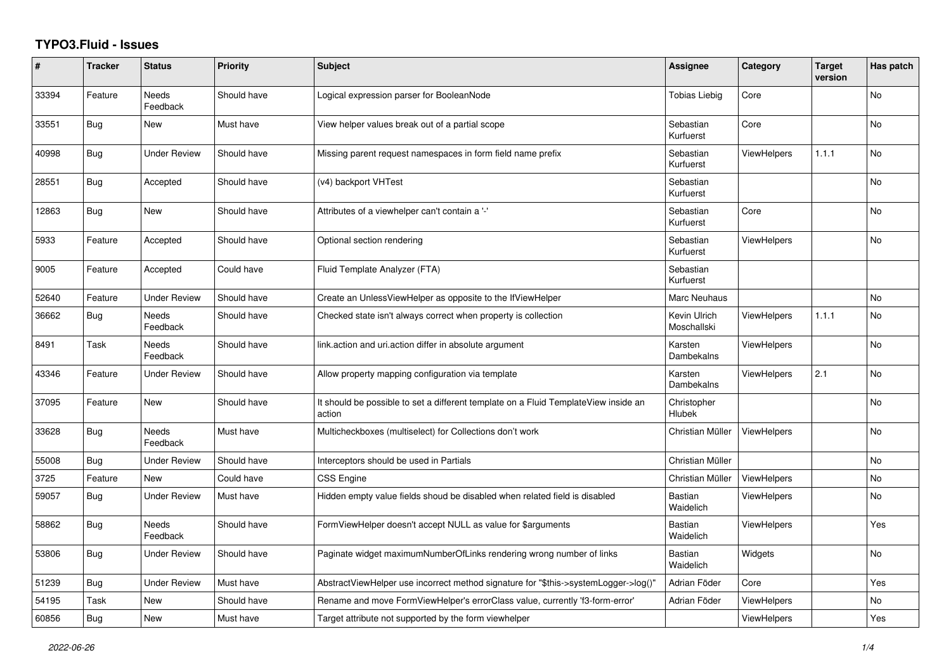## **TYPO3.Fluid - Issues**

| #     | <b>Tracker</b> | <b>Status</b>            | Priority    | <b>Subject</b>                                                                                | Assignee                    | Category           | <b>Target</b><br>version | Has patch |
|-------|----------------|--------------------------|-------------|-----------------------------------------------------------------------------------------------|-----------------------------|--------------------|--------------------------|-----------|
| 33394 | Feature        | Needs<br>Feedback        | Should have | Logical expression parser for BooleanNode                                                     | <b>Tobias Liebig</b>        | Core               |                          | No        |
| 33551 | Bug            | New                      | Must have   | View helper values break out of a partial scope                                               | Sebastian<br>Kurfuerst      | Core               |                          | <b>No</b> |
| 40998 | <b>Bug</b>     | <b>Under Review</b>      | Should have | Missing parent request namespaces in form field name prefix                                   | Sebastian<br>Kurfuerst      | <b>ViewHelpers</b> | 1.1.1                    | <b>No</b> |
| 28551 | Bug            | Accepted                 | Should have | (v4) backport VHTest                                                                          | Sebastian<br>Kurfuerst      |                    |                          | No        |
| 12863 | <b>Bug</b>     | New                      | Should have | Attributes of a viewhelper can't contain a '-'                                                | Sebastian<br>Kurfuerst      | Core               |                          | <b>No</b> |
| 5933  | Feature        | Accepted                 | Should have | Optional section rendering                                                                    | Sebastian<br>Kurfuerst      | <b>ViewHelpers</b> |                          | <b>No</b> |
| 9005  | Feature        | Accepted                 | Could have  | Fluid Template Analyzer (FTA)                                                                 | Sebastian<br>Kurfuerst      |                    |                          |           |
| 52640 | Feature        | <b>Under Review</b>      | Should have | Create an UnlessViewHelper as opposite to the IfViewHelper                                    | Marc Neuhaus                |                    |                          | No        |
| 36662 | Bug            | <b>Needs</b><br>Feedback | Should have | Checked state isn't always correct when property is collection                                | Kevin Ulrich<br>Moschallski | <b>ViewHelpers</b> | 1.1.1                    | <b>No</b> |
| 8491  | Task           | Needs<br>Feedback        | Should have | link.action and uri.action differ in absolute argument                                        | Karsten<br>Dambekalns       | <b>ViewHelpers</b> |                          | No        |
| 43346 | Feature        | <b>Under Review</b>      | Should have | Allow property mapping configuration via template                                             | Karsten<br>Dambekalns       | <b>ViewHelpers</b> | 2.1                      | No        |
| 37095 | Feature        | <b>New</b>               | Should have | It should be possible to set a different template on a Fluid TemplateView inside an<br>action | Christopher<br>Hlubek       |                    |                          | <b>No</b> |
| 33628 | <b>Bug</b>     | Needs<br>Feedback        | Must have   | Multicheckboxes (multiselect) for Collections don't work                                      | Christian Müller            | <b>ViewHelpers</b> |                          | <b>No</b> |
| 55008 | Bug            | <b>Under Review</b>      | Should have | Interceptors should be used in Partials                                                       | Christian Müller            |                    |                          | No        |
| 3725  | Feature        | New                      | Could have  | <b>CSS Engine</b>                                                                             | Christian Müller            | <b>ViewHelpers</b> |                          | <b>No</b> |
| 59057 | <b>Bug</b>     | <b>Under Review</b>      | Must have   | Hidden empty value fields shoud be disabled when related field is disabled                    | <b>Bastian</b><br>Waidelich | <b>ViewHelpers</b> |                          | No        |
| 58862 | <b>Bug</b>     | Needs<br>Feedback        | Should have | FormViewHelper doesn't accept NULL as value for \$arguments                                   | <b>Bastian</b><br>Waidelich | <b>ViewHelpers</b> |                          | Yes       |
| 53806 | Bug            | <b>Under Review</b>      | Should have | Paginate widget maximumNumberOfLinks rendering wrong number of links                          | <b>Bastian</b><br>Waidelich | Widgets            |                          | <b>No</b> |
| 51239 | <b>Bug</b>     | <b>Under Review</b>      | Must have   | AbstractViewHelper use incorrect method signature for "\$this->systemLogger->log()"           | Adrian Föder                | Core               |                          | Yes       |
| 54195 | Task           | New                      | Should have | Rename and move FormViewHelper's errorClass value, currently 'f3-form-error'                  | Adrian Föder                | <b>ViewHelpers</b> |                          | No        |
| 60856 | <b>Bug</b>     | <b>New</b>               | Must have   | Target attribute not supported by the form viewhelper                                         |                             | <b>ViewHelpers</b> |                          | Yes       |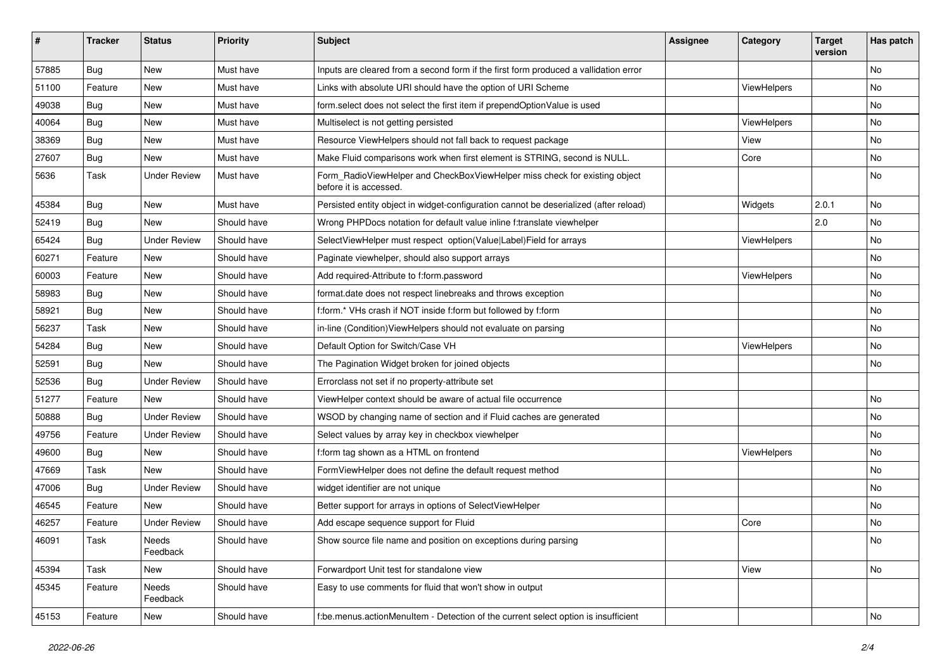| #     | <b>Tracker</b> | <b>Status</b>       | <b>Priority</b> | Subject                                                                                              | <b>Assignee</b> | Category    | <b>Target</b><br>version | Has patch |
|-------|----------------|---------------------|-----------------|------------------------------------------------------------------------------------------------------|-----------------|-------------|--------------------------|-----------|
| 57885 | Bug            | New                 | Must have       | Inputs are cleared from a second form if the first form produced a vallidation error                 |                 |             |                          | <b>No</b> |
| 51100 | Feature        | New                 | Must have       | Links with absolute URI should have the option of URI Scheme                                         |                 | ViewHelpers |                          | No        |
| 49038 | Bug            | New                 | Must have       | form select does not select the first item if prependOptionValue is used                             |                 |             |                          | No        |
| 40064 | Bug            | New                 | Must have       | Multiselect is not getting persisted                                                                 |                 | ViewHelpers |                          | <b>No</b> |
| 38369 | Bug            | New                 | Must have       | Resource ViewHelpers should not fall back to request package                                         |                 | View        |                          | No        |
| 27607 | Bug            | New                 | Must have       | Make Fluid comparisons work when first element is STRING, second is NULL.                            |                 | Core        |                          | <b>No</b> |
| 5636  | Task           | <b>Under Review</b> | Must have       | Form_RadioViewHelper and CheckBoxViewHelper miss check for existing object<br>before it is accessed. |                 |             |                          | No        |
| 45384 | Bug            | New                 | Must have       | Persisted entity object in widget-configuration cannot be deserialized (after reload)                |                 | Widgets     | 2.0.1                    | No        |
| 52419 | Bug            | New                 | Should have     | Wrong PHPDocs notation for default value inline f:translate viewhelper                               |                 |             | 2.0                      | No        |
| 65424 | Bug            | <b>Under Review</b> | Should have     | SelectViewHelper must respect option(Value Label)Field for arrays                                    |                 | ViewHelpers |                          | No        |
| 60271 | Feature        | <b>New</b>          | Should have     | Paginate viewhelper, should also support arrays                                                      |                 |             |                          | No        |
| 60003 | Feature        | New                 | Should have     | Add required-Attribute to f:form.password                                                            |                 | ViewHelpers |                          | No        |
| 58983 | Bug            | New                 | Should have     | format.date does not respect linebreaks and throws exception                                         |                 |             |                          | <b>No</b> |
| 58921 | Bug            | New                 | Should have     | f:form.* VHs crash if NOT inside f:form but followed by f:form                                       |                 |             |                          | No        |
| 56237 | Task           | New                 | Should have     | in-line (Condition) View Helpers should not evaluate on parsing                                      |                 |             |                          | No        |
| 54284 | Bug            | New                 | Should have     | Default Option for Switch/Case VH                                                                    |                 | ViewHelpers |                          | <b>No</b> |
| 52591 | Bug            | New                 | Should have     | The Pagination Widget broken for joined objects                                                      |                 |             |                          | No        |
| 52536 | Bug            | <b>Under Review</b> | Should have     | Errorclass not set if no property-attribute set                                                      |                 |             |                          |           |
| 51277 | Feature        | New                 | Should have     | ViewHelper context should be aware of actual file occurrence                                         |                 |             |                          | No        |
| 50888 | Bug            | <b>Under Review</b> | Should have     | WSOD by changing name of section and if Fluid caches are generated                                   |                 |             |                          | No        |
| 49756 | Feature        | <b>Under Review</b> | Should have     | Select values by array key in checkbox viewhelper                                                    |                 |             |                          | No        |
| 49600 | Bug            | New                 | Should have     | f:form tag shown as a HTML on frontend                                                               |                 | ViewHelpers |                          | No        |
| 47669 | Task           | New                 | Should have     | FormViewHelper does not define the default request method                                            |                 |             |                          | No        |
| 47006 | Bug            | <b>Under Review</b> | Should have     | widget identifier are not unique                                                                     |                 |             |                          | No        |
| 46545 | Feature        | New                 | Should have     | Better support for arrays in options of SelectViewHelper                                             |                 |             |                          | No        |
| 46257 | Feature        | <b>Under Review</b> | Should have     | Add escape sequence support for Fluid                                                                |                 | Core        |                          | <b>No</b> |
| 46091 | Task           | Needs<br>Feedback   | Should have     | Show source file name and position on exceptions during parsing                                      |                 |             |                          | No        |
| 45394 | Task           | New                 | Should have     | Forwardport Unit test for standalone view                                                            |                 | View        |                          | No        |
| 45345 | Feature        | Needs<br>Feedback   | Should have     | Easy to use comments for fluid that won't show in output                                             |                 |             |                          |           |
| 45153 | Feature        | New                 | Should have     | f:be.menus.actionMenuItem - Detection of the current select option is insufficient                   |                 |             |                          | No        |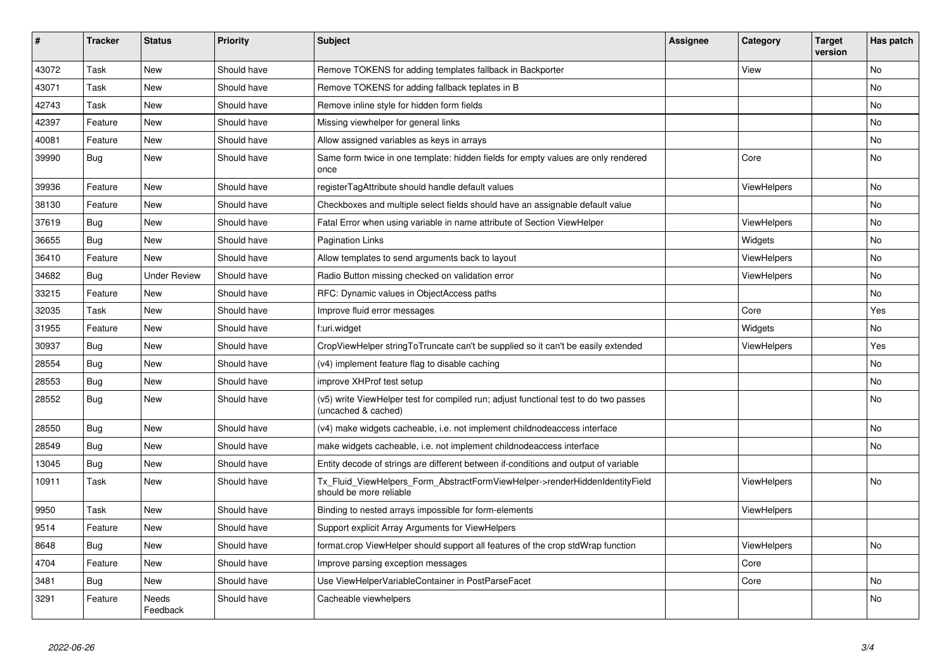| $\vert$ # | <b>Tracker</b> | <b>Status</b>       | <b>Priority</b> | <b>Subject</b>                                                                                              | Assignee | Category           | <b>Target</b><br>version | Has patch |
|-----------|----------------|---------------------|-----------------|-------------------------------------------------------------------------------------------------------------|----------|--------------------|--------------------------|-----------|
| 43072     | Task           | New                 | Should have     | Remove TOKENS for adding templates fallback in Backporter                                                   |          | View               |                          | <b>No</b> |
| 43071     | Task           | New                 | Should have     | Remove TOKENS for adding fallback teplates in B                                                             |          |                    |                          | <b>No</b> |
| 42743     | Task           | New                 | Should have     | Remove inline style for hidden form fields                                                                  |          |                    |                          | No        |
| 42397     | Feature        | New                 | Should have     | Missing viewhelper for general links                                                                        |          |                    |                          | No        |
| 40081     | Feature        | New                 | Should have     | Allow assigned variables as keys in arrays                                                                  |          |                    |                          | <b>No</b> |
| 39990     | Bug            | New                 | Should have     | Same form twice in one template: hidden fields for empty values are only rendered<br>once                   |          | Core               |                          | <b>No</b> |
| 39936     | Feature        | New                 | Should have     | registerTagAttribute should handle default values                                                           |          | <b>ViewHelpers</b> |                          | <b>No</b> |
| 38130     | Feature        | New                 | Should have     | Checkboxes and multiple select fields should have an assignable default value                               |          |                    |                          | <b>No</b> |
| 37619     | <b>Bug</b>     | New                 | Should have     | Fatal Error when using variable in name attribute of Section ViewHelper                                     |          | ViewHelpers        |                          | No        |
| 36655     | Bug            | New                 | Should have     | <b>Pagination Links</b>                                                                                     |          | Widgets            |                          | <b>No</b> |
| 36410     | Feature        | <b>New</b>          | Should have     | Allow templates to send arguments back to layout                                                            |          | <b>ViewHelpers</b> |                          | <b>No</b> |
| 34682     | Bug            | <b>Under Review</b> | Should have     | Radio Button missing checked on validation error                                                            |          | <b>ViewHelpers</b> |                          | <b>No</b> |
| 33215     | Feature        | <b>New</b>          | Should have     | RFC: Dynamic values in ObjectAccess paths                                                                   |          |                    |                          | No        |
| 32035     | Task           | New                 | Should have     | Improve fluid error messages                                                                                |          | Core               |                          | Yes       |
| 31955     | Feature        | New                 | Should have     | f:uri.widget                                                                                                |          | Widgets            |                          | <b>No</b> |
| 30937     | <b>Bug</b>     | New                 | Should have     | CropViewHelper stringToTruncate can't be supplied so it can't be easily extended                            |          | <b>ViewHelpers</b> |                          | Yes       |
| 28554     | Bug            | New                 | Should have     | (v4) implement feature flag to disable caching                                                              |          |                    |                          | <b>No</b> |
| 28553     | Bug            | New                 | Should have     | improve XHProf test setup                                                                                   |          |                    |                          | No        |
| 28552     | Bug            | New                 | Should have     | (v5) write ViewHelper test for compiled run; adjust functional test to do two passes<br>(uncached & cached) |          |                    |                          | No        |
| 28550     | <b>Bug</b>     | New                 | Should have     | (v4) make widgets cacheable, i.e. not implement childnodeaccess interface                                   |          |                    |                          | <b>No</b> |
| 28549     | <b>Bug</b>     | New                 | Should have     | make widgets cacheable, i.e. not implement childnodeaccess interface                                        |          |                    |                          | <b>No</b> |
| 13045     | Bug            | New                 | Should have     | Entity decode of strings are different between if-conditions and output of variable                         |          |                    |                          |           |
| 10911     | Task           | New                 | Should have     | Tx_Fluid_ViewHelpers_Form_AbstractFormViewHelper->renderHiddenIdentityField<br>should be more reliable      |          | ViewHelpers        |                          | <b>No</b> |
| 9950      | Task           | New                 | Should have     | Binding to nested arrays impossible for form-elements                                                       |          | <b>ViewHelpers</b> |                          |           |
| 9514      | Feature        | New                 | Should have     | Support explicit Array Arguments for ViewHelpers                                                            |          |                    |                          |           |
| 8648      | <b>Bug</b>     | New                 | Should have     | format.crop ViewHelper should support all features of the crop stdWrap function                             |          | <b>ViewHelpers</b> |                          | <b>No</b> |
| 4704      | Feature        | New                 | Should have     | Improve parsing exception messages                                                                          |          | Core               |                          |           |
| 3481      | Bug            | New                 | Should have     | Use ViewHelperVariableContainer in PostParseFacet                                                           |          | Core               |                          | <b>No</b> |
| 3291      | Feature        | Needs<br>Feedback   | Should have     | Cacheable viewhelpers                                                                                       |          |                    |                          | <b>No</b> |